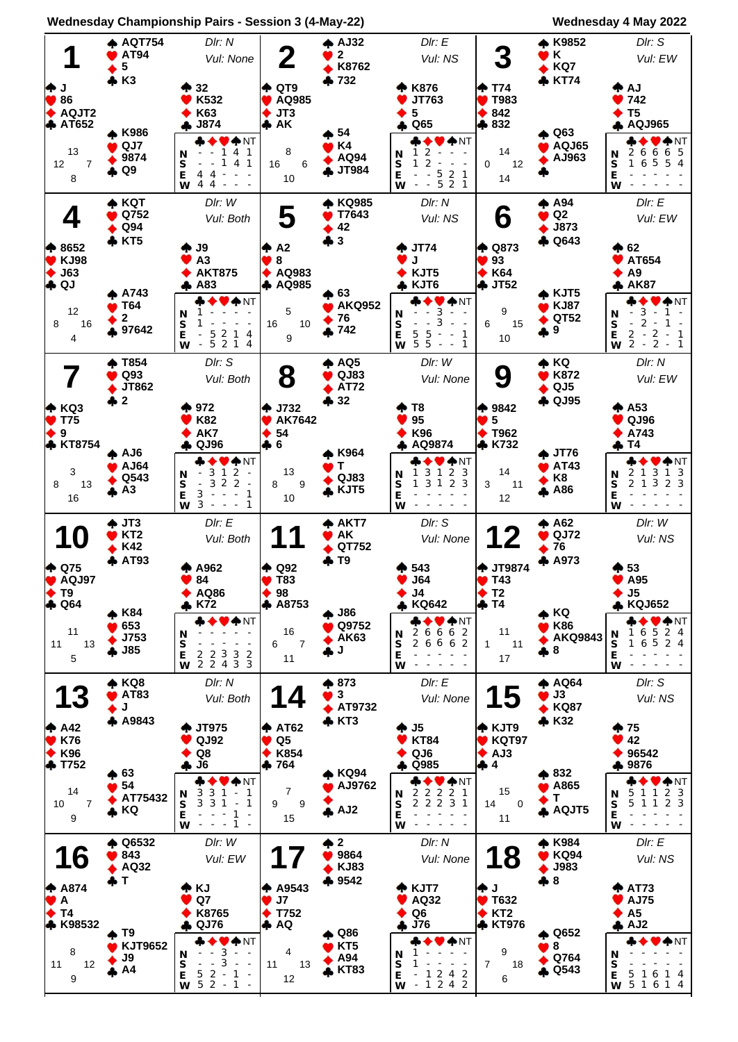

**Wednesday Championship Pairs - Session 3 (4-May-22) Wednesday 4 May 2022**